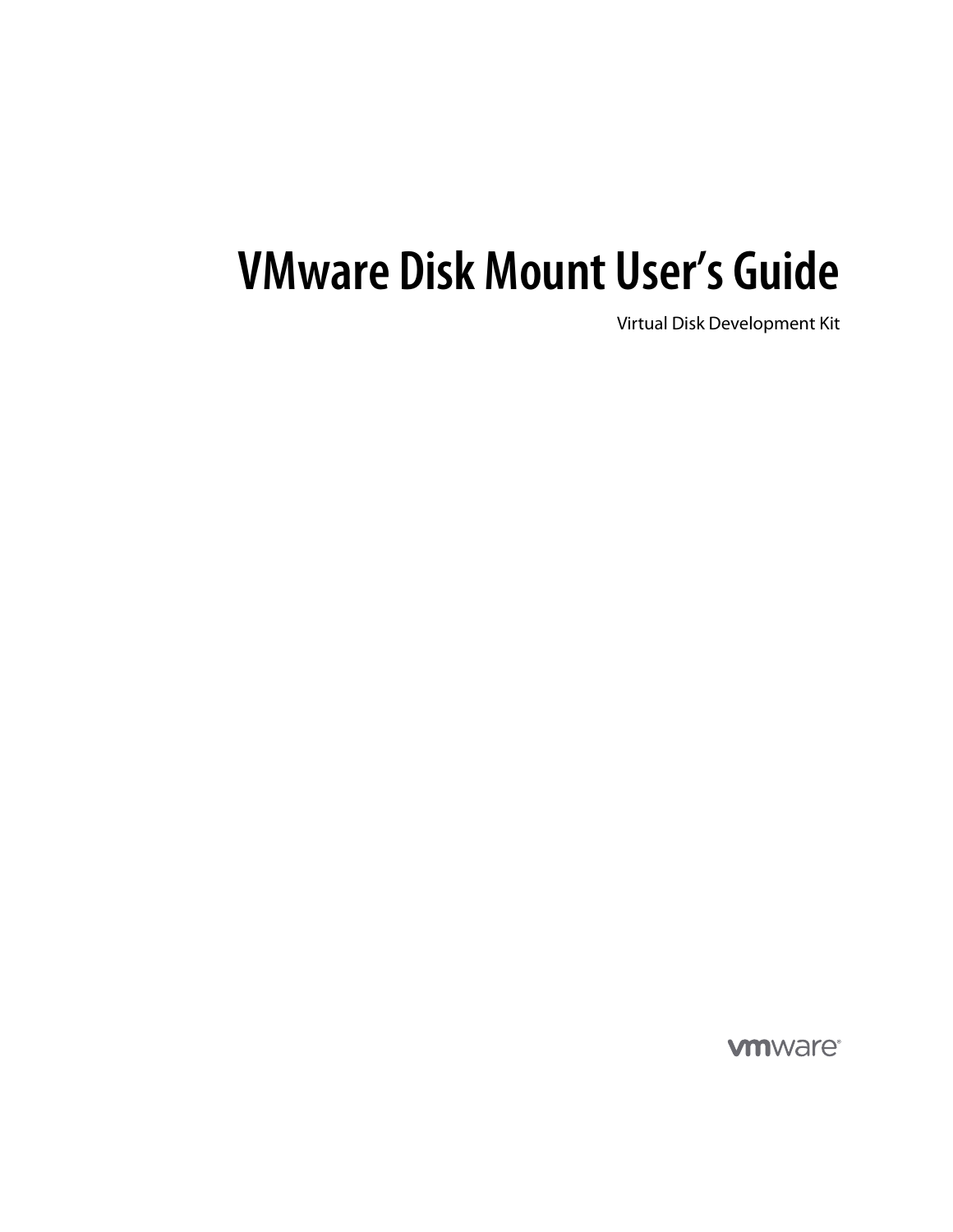# **VMware Disk Mount User's Guide**

Virtual Disk Development Kit

**vmware**<sup>®</sup>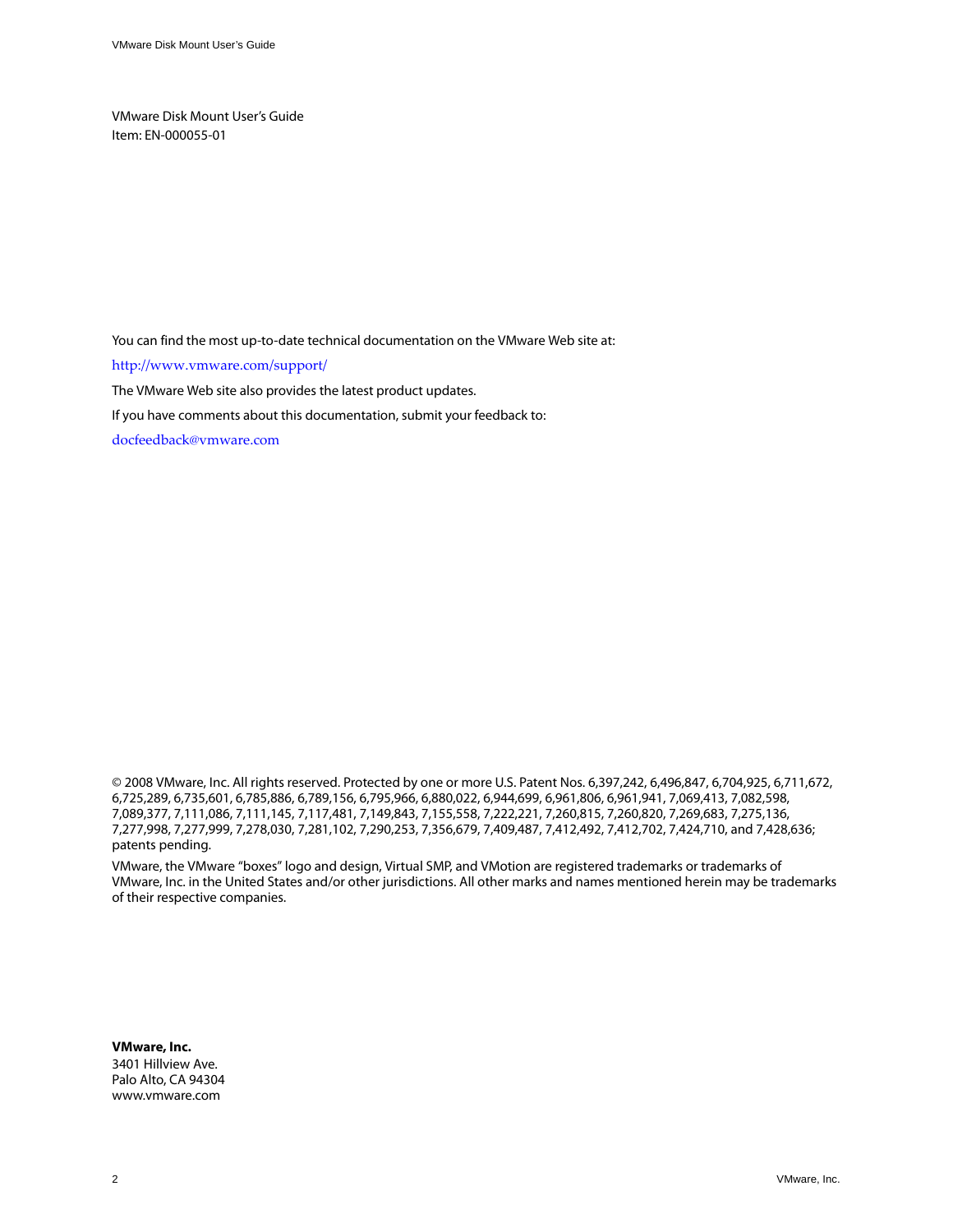VMware Disk Mount User's Guide Item: EN-000055-01

You can find the most up-to-date technical documentation on the VMware Web site at:

[http://www.vmware.com/support/](http://www.vmware.com/support)

The VMware Web site also provides the latest product updates.

If you have comments about this documentation, submit your feedback to:

[docfeedback@vmware.com](mailto:docfeedback@vmware.com)

© 2008 VMware, Inc. All rights reserved. Protected by one or more U.S. Patent Nos. 6,397,242, 6,496,847, 6,704,925, 6,711,672, 6,725,289, 6,735,601, 6,785,886, 6,789,156, 6,795,966, 6,880,022, 6,944,699, 6,961,806, 6,961,941, 7,069,413, 7,082,598, 7,089,377, 7,111,086, 7,111,145, 7,117,481, 7,149,843, 7,155,558, 7,222,221, 7,260,815, 7,260,820, 7,269,683, 7,275,136, 7,277,998, 7,277,999, 7,278,030, 7,281,102, 7,290,253, 7,356,679, 7,409,487, 7,412,492, 7,412,702, 7,424,710, and 7,428,636; patents pending.

VMware, the VMware "boxes" logo and design, Virtual SMP, and VMotion are registered trademarks or trademarks of VMware, Inc. in the United States and/or other jurisdictions. All other marks and names mentioned herein may be trademarks of their respective companies.

**VMware, Inc.**

3401 Hillview Ave. Palo Alto, CA 94304 www.vmware.com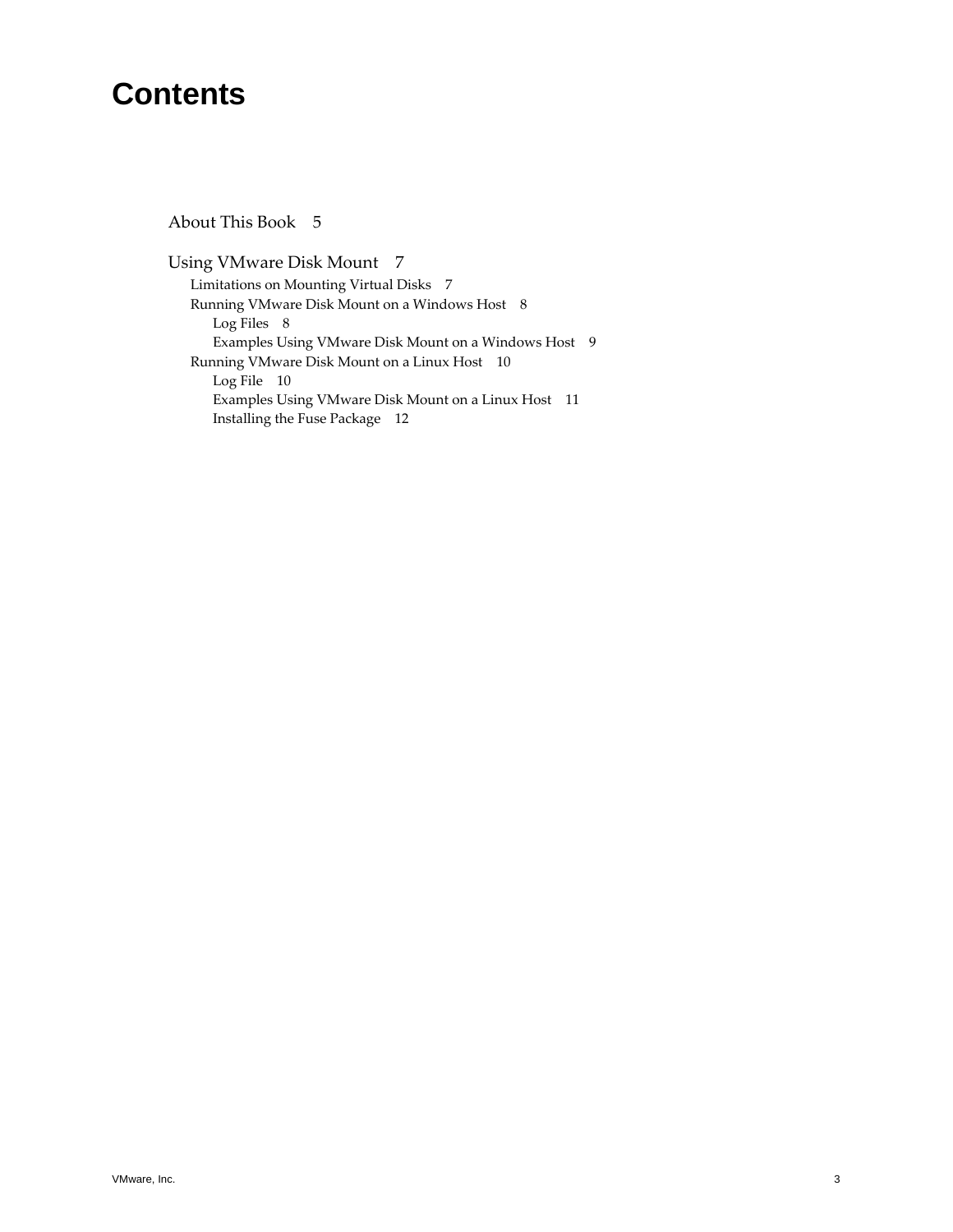## **Contents**

About This [Book 5](#page-4-0)

Using VMware Disk [Mount 7](#page-6-0) [Limitations](#page-6-1) on Mounting Virtual Disks 7 Running VMware Disk Mount on a [Windows](#page-7-0) Host 8 Log [Files 8](#page-7-1) [Examples](#page-8-0) Using VMware Disk Mount on a Windows Host 9 Running VMware Disk Mount on a Linux [Host 10](#page-9-0) Log [File 10](#page-9-1) [Examples](#page-10-0) Using VMware Disk Mount on a Linux Host 11 Installing the Fuse [Package 12](#page-11-0)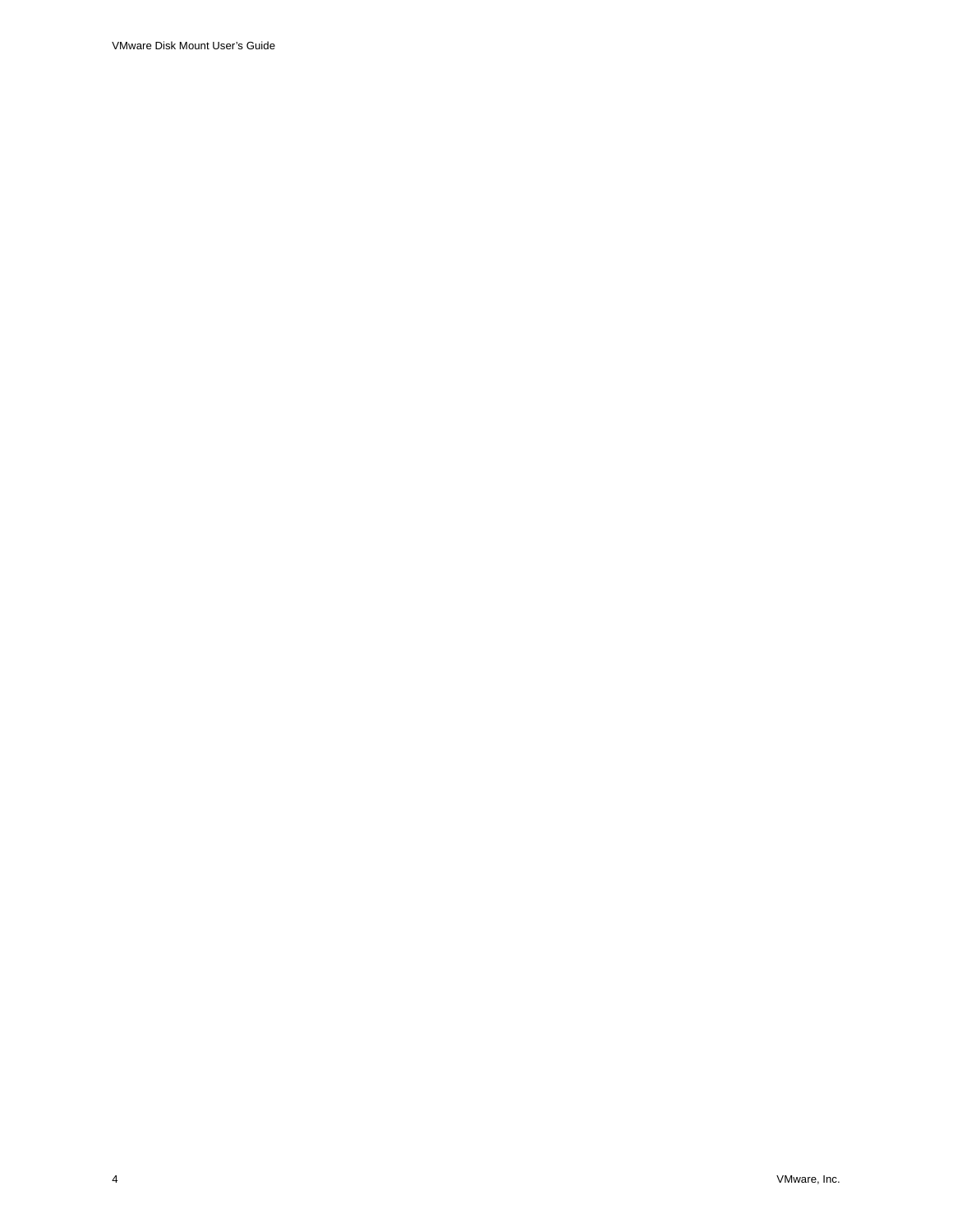VMware Disk Mount User's Guide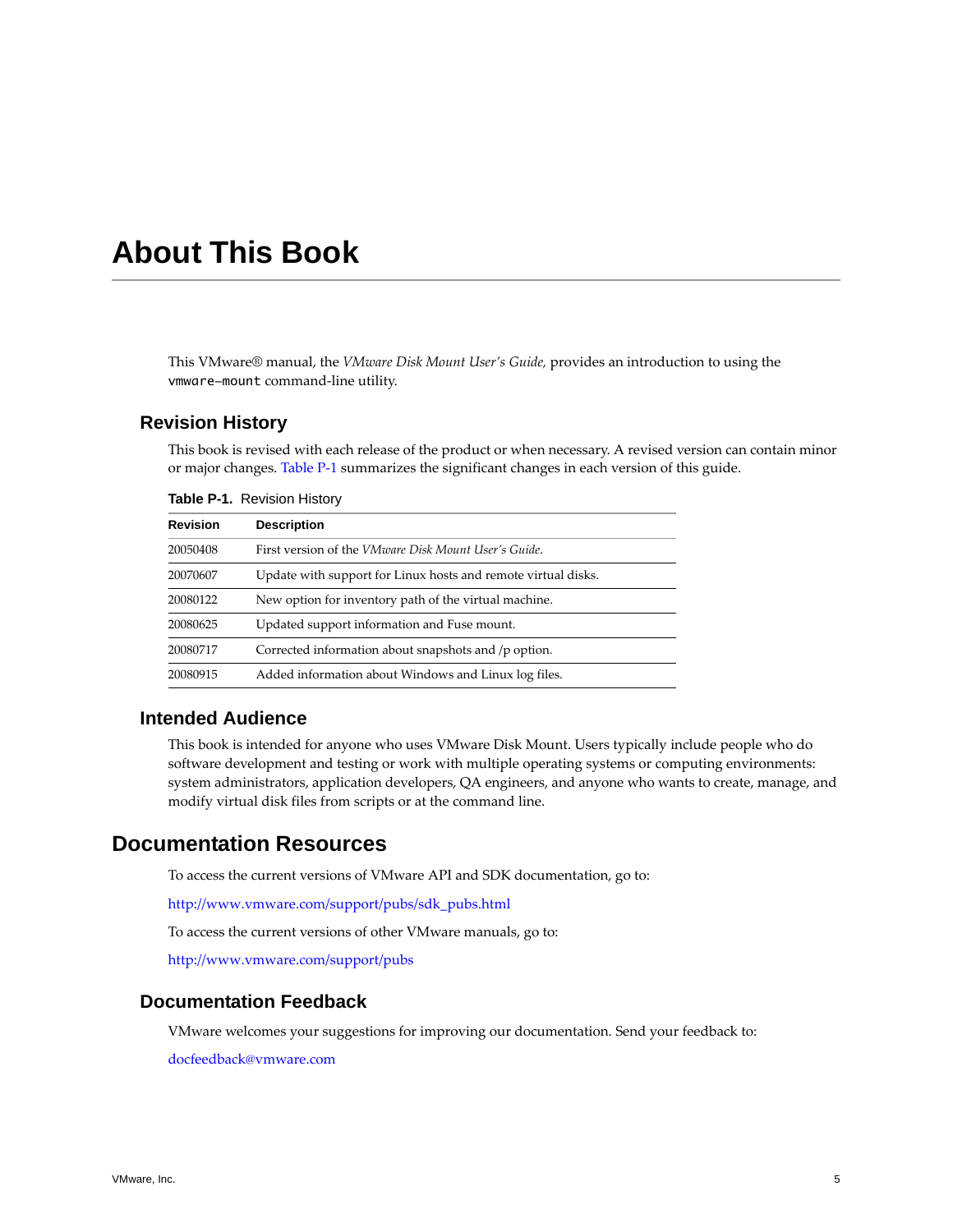## <span id="page-4-0"></span>**About This Book**

This VMware® manual, the *VMware Disk Mount User's Guide,* provides an introduction to using the vmware-mount command‐line utility.

### **Revision History**

This book is revised with each release of the product or when necessary. A revised version can contain minor or major changes. [Table P](#page-4-1)‐1 summarizes the significant changes in each version of this guide.

| <b>Revision</b> | <b>Description</b>                                            |  |  |  |  |  |
|-----------------|---------------------------------------------------------------|--|--|--|--|--|
| 20050408        | First version of the <i>VMware Disk Mount User's Guide</i> .  |  |  |  |  |  |
| 20070607        | Update with support for Linux hosts and remote virtual disks. |  |  |  |  |  |
| 20080122        | New option for inventory path of the virtual machine.         |  |  |  |  |  |
| 20080625        | Updated support information and Fuse mount.                   |  |  |  |  |  |
| 20080717        | Corrected information about snapshots and /p option.          |  |  |  |  |  |
| 20080915        | Added information about Windows and Linux log files.          |  |  |  |  |  |
|                 |                                                               |  |  |  |  |  |

<span id="page-4-1"></span>**Table P-1.** Revision History

#### **Intended Audience**

This book is intended for anyone who uses VMware Disk Mount. Users typically include people who do software development and testing or work with multiple operating systems or computing environments: system administrators, application developers, QA engineers, and anyone who wants to create, manage, and modify virtual disk files from scripts or at the command line.

## **Documentation Resources**

To access the current versions of VMware API and SDK documentation, go to:

[http://www.vmware.com/support/pubs/sdk\\_pubs.html](http://www.vmware.com/support/pubs/sdk_pubs.html)

To access the current versions of other VMware manuals, go to:

<http://www.vmware.com/support/pubs>

#### **Documentation Feedback**

VMware welcomes your suggestions for improving our documentation. Send your feedback to:

[docfeedback@vmware.com](mailto:docfeedback@vmware.com)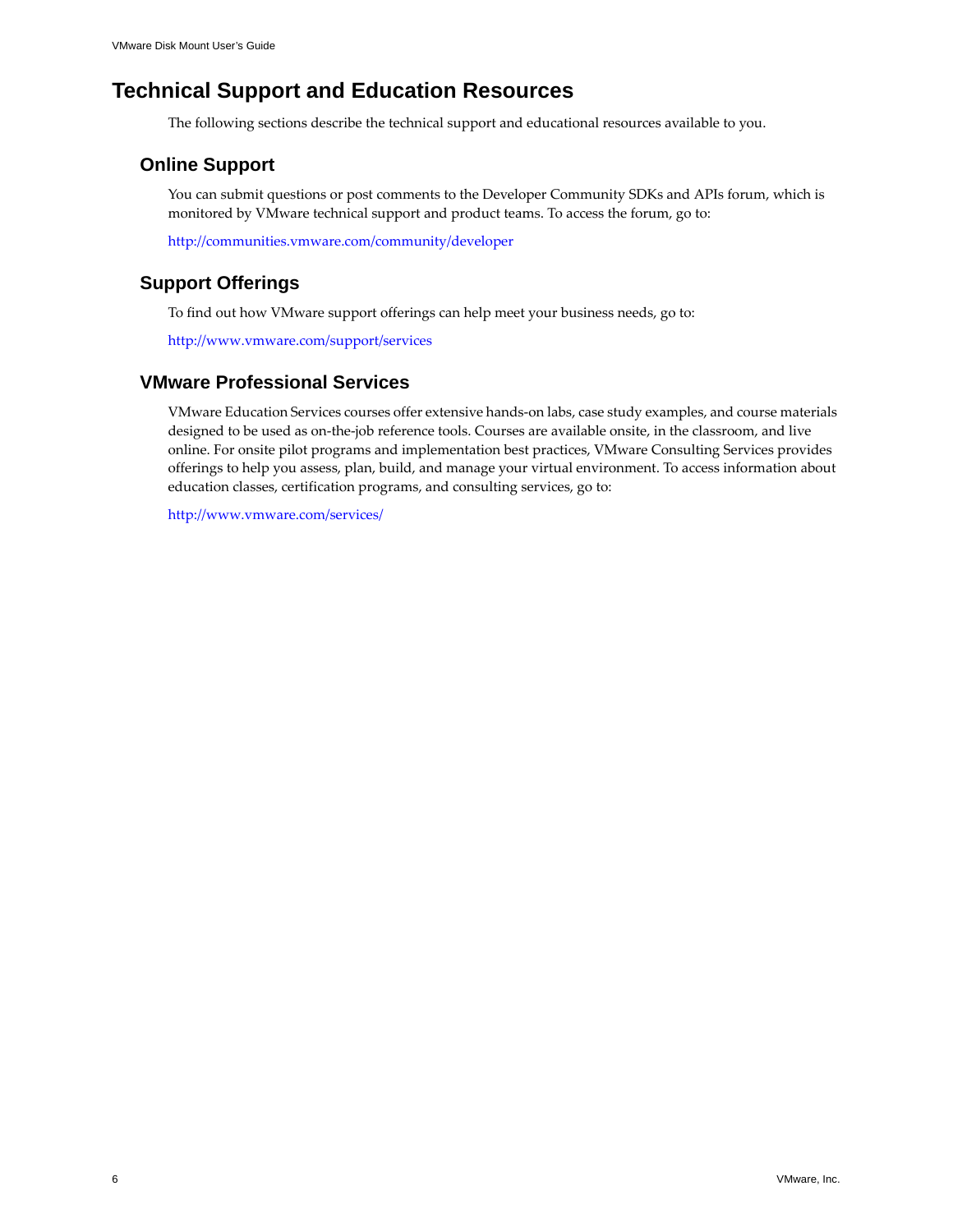## **Technical Support and Education Resources**

The following sections describe the technical support and educational resources available to you.

## **Online Support**

You can submit questions or post comments to the Developer Community SDKs and APIs forum, which is monitored by VMware technical support and product teams. To access the forum, go to:

<http://communities.vmware.com/community/developer>

## **Support Offerings**

To find out how VMware support offerings can help meet your business needs, go to:

<http://www.vmware.com/support/services>

## **VMware Professional Services**

VMware Education Services courses offer extensive hands‐on labs, case study examples, and course materials designed to be used as on‐the‐job reference tools. Courses are available onsite, in the classroom, and live online. For onsite pilot programs and implementation best practices, VMware Consulting Services provides offerings to help you assess, plan, build, and manage your virtual environment. To access information about education classes, certification programs, and consulting services, go to:

<http://www.vmware.com/services/>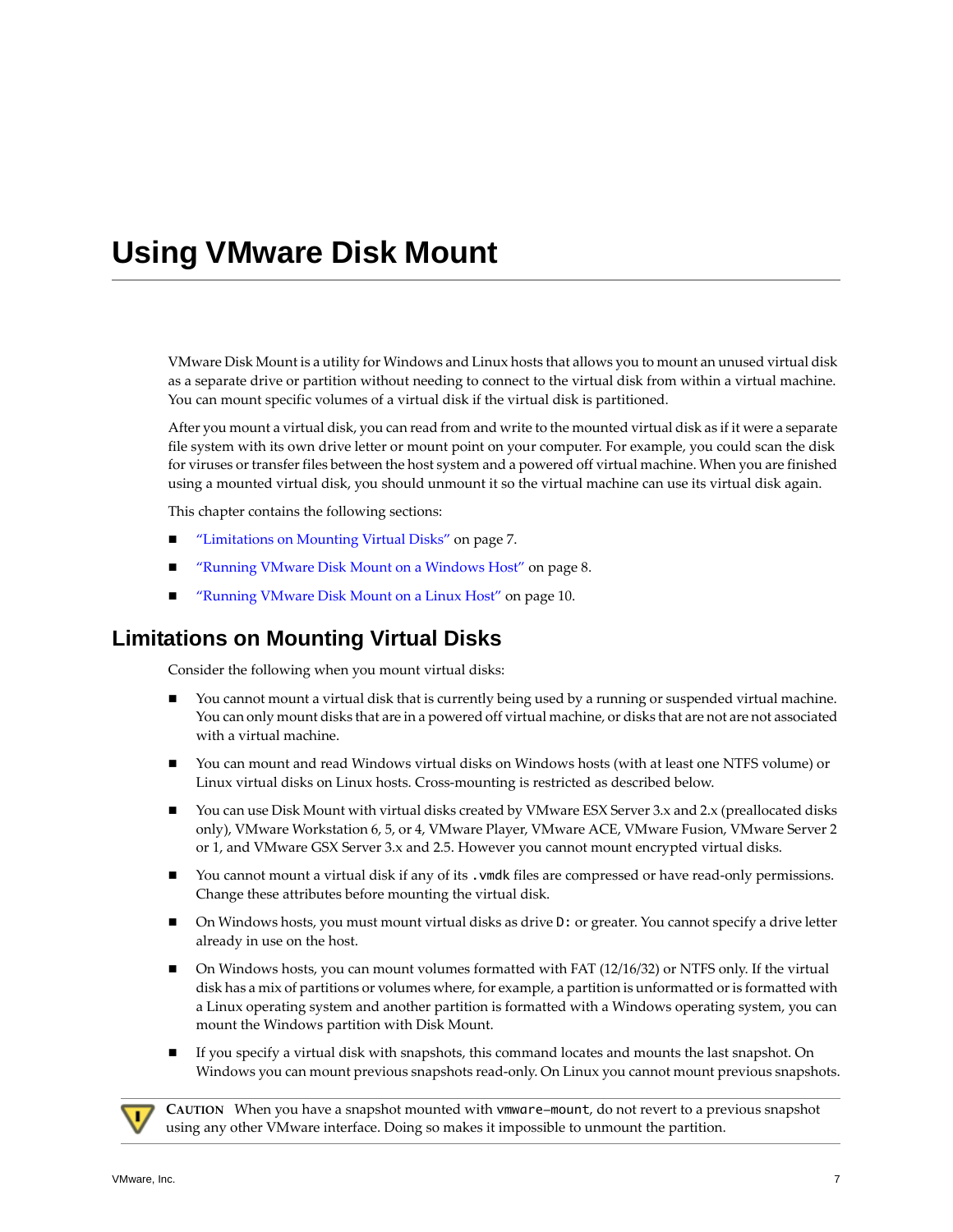## <span id="page-6-0"></span>**Using VMware Disk Mount**

VMware Disk Mount is a utility for Windows and Linux hosts that allows you to mount an unused virtual disk as a separate drive or partition without needing to connect to the virtual disk from within a virtual machine. You can mount specific volumes of a virtual disk if the virtual disk is partitioned.

After you mount a virtual disk, you can read from and write to the mounted virtual disk as if it were a separate file system with its own drive letter or mount point on your computer. For example, you could scan the disk for viruses or transfer files between the host system and a powered off virtual machine. When you are finished using a mounted virtual disk, you should unmount it so the virtual machine can use its virtual disk again.

This chapter contains the following sections:

- ["Limitations](#page-6-1) on Mounting Virtual Disks" on page 7.
- ["Running](#page-7-0) VMware Disk Mount on a Windows Host" on page 8.
- ["Running](#page-9-0) VMware Disk Mount on a Linux Host" on page 10.

## <span id="page-6-1"></span>**Limitations on Mounting Virtual Disks**

Consider the following when you mount virtual disks:

- You cannot mount a virtual disk that is currently being used by a running or suspended virtual machine. You can only mount disks that are in a powered off virtual machine, or disks that are not are not associated with a virtual machine.
- You can mount and read Windows virtual disks on Windows hosts (with at least one NTFS volume) or Linux virtual disks on Linux hosts. Cross‐mounting is restricted as described below.
- You can use Disk Mount with virtual disks created by VMware ESX Server 3.x and 2.x (preallocated disks only), VMware Workstation 6, 5, or 4, VMware Player, VMware ACE, VMware Fusion, VMware Server 2 or 1, and VMware GSX Server 3.x and 2.5. However you cannot mount encrypted virtual disks.
- You cannot mount a virtual disk if any of its . vmdk files are compressed or have read-only permissions. Change these attributes before mounting the virtual disk.
- On Windows hosts, you must mount virtual disks as drive D: or greater. You cannot specify a drive letter already in use on the host.
- On Windows hosts, you can mount volumes formatted with FAT (12/16/32) or NTFS only. If the virtual disk has a mix of partitions or volumes where, for example, a partition is unformatted oris formatted with a Linux operating system and another partition is formatted with a Windows operating system, you can mount the Windows partition with Disk Mount.
- If you specify a virtual disk with snapshots, this command locates and mounts the last snapshot. On Windows you can mount previous snapshots read‐only. On Linux you cannot mount previous snapshots.

**CAUTION** When you have a snapshot mounted with vmware-mount, do not revert to a previous snapshot using any other VMware interface. Doing so makes it impossible to unmount the partition.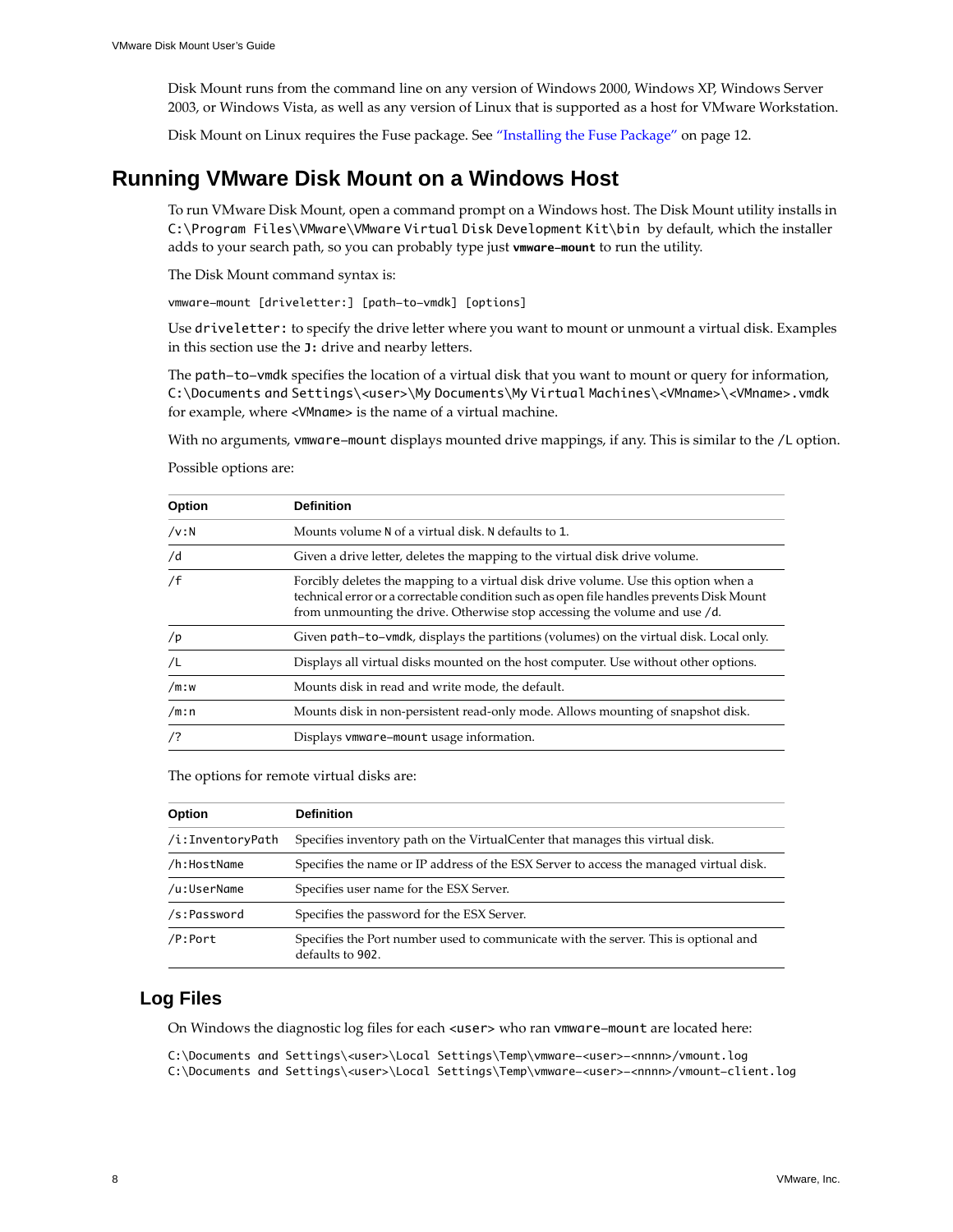Disk Mount runs from the command line on any version of Windows 2000, Windows XP, Windows Server 2003, or Windows Vista, as well as any version of Linux that is supported as a host for VMware Workstation.

Disk Mount on Linux requires the Fuse package. See ["Installing](#page-11-0) the Fuse Package" on page 12.

## <span id="page-7-0"></span>**Running VMware Disk Mount on a Windows Host**

To run VMware Disk Mount, open a command prompt on a Windows host. The Disk Mount utility installs in C:\Program Files\VMware\VMware Virtual Disk Development Kit\bin by default, which the installer adds to your search path, so you can probably type just **vmware-mount** to run the utility.

The Disk Mount command syntax is:

vmware-mount [driveletter:] [path-to-vmdk] [options]

Use driveletter: to specify the drive letter where you want to mount or unmount a virtual disk. Examples in this section use the **J:** drive and nearby letters.

The path-to-vmdk specifies the location of a virtual disk that you want to mount or query for information, C:\Documents and Settings\<user>\My Documents\My Virtual Machines\<VMname>\<VMname>.vmdk for example, where <VMname> is the name of a virtual machine.

With no arguments, vmware-mount displays mounted drive mappings, if any. This is similar to the /L option.

Possible options are:

| Option | <b>Definition</b>                                                                                                                                                                                                                                             |
|--------|---------------------------------------------------------------------------------------------------------------------------------------------------------------------------------------------------------------------------------------------------------------|
| /v: N  | Mounts volume N of a virtual disk. N defaults to 1.                                                                                                                                                                                                           |
| /d     | Given a drive letter, deletes the mapping to the virtual disk drive volume.                                                                                                                                                                                   |
| /f     | Forcibly deletes the mapping to a virtual disk drive volume. Use this option when a<br>technical error or a correctable condition such as open file handles prevents Disk Mount<br>from unmounting the drive. Otherwise stop accessing the volume and use /d. |
| /p     | Given path-to-ymdk, displays the partitions (volumes) on the virtual disk. Local only.                                                                                                                                                                        |
| /L     | Displays all virtual disks mounted on the host computer. Use without other options.                                                                                                                                                                           |
| /m:w   | Mounts disk in read and write mode, the default.                                                                                                                                                                                                              |
| /m:n   | Mounts disk in non-persistent read-only mode. Allows mounting of snapshot disk.                                                                                                                                                                               |
| /?     | Displays vmware-mount usage information.                                                                                                                                                                                                                      |

The options for remote virtual disks are:

| Option           | <b>Definition</b>                                                                                       |  |
|------------------|---------------------------------------------------------------------------------------------------------|--|
| i:InventoryPath/ | Specifies inventory path on the Virtual Center that manages this virtual disk.                          |  |
| /h:HostName      | Specifies the name or IP address of the ESX Server to access the managed virtual disk.                  |  |
| /u:UserName      | Specifies user name for the ESX Server.                                                                 |  |
| /s:Password      | Specifies the password for the ESX Server.                                                              |  |
| /P:Port          | Specifies the Port number used to communicate with the server. This is optional and<br>defaults to 902. |  |

#### <span id="page-7-1"></span>**Log Files**

On Windows the diagnostic log files for each <user> who ran vmware-mount are located here:

C:\Documents and Settings\<user>\Local Settings\Temp\vmware-<user>-<nnnn>/vmount.log C:\Documents and Settings\<user>\Local Settings\Temp\vmware-<user>-<nnnn>/vmount-client.log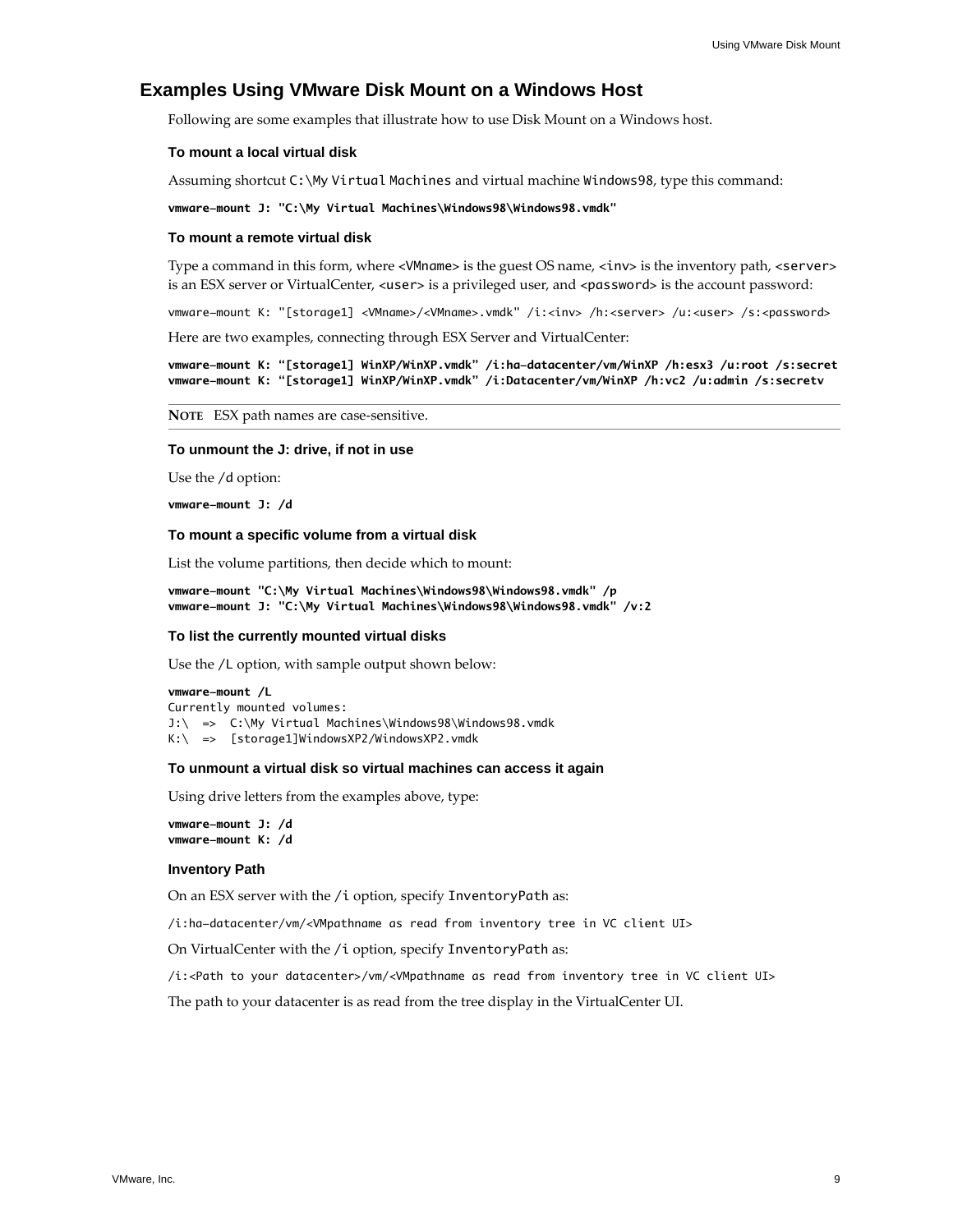### <span id="page-8-0"></span>**Examples Using VMware Disk Mount on a Windows Host**

Following are some examples that illustrate how to use Disk Mount on a Windows host.

#### **To mount a local virtual disk**

Assuming shortcut C:\My Virtual Machines and virtual machine Windows98, type this command:

**vmware-mount J: "C:\My Virtual Machines\Windows98\Windows98.vmdk"**

#### **To mount a remote virtual disk**

Type a command in this form, where <VMname> is the guest OS name, <inv> is the inventory path, <server> is an ESX server or VirtualCenter, <user> is a privileged user, and <password> is the account password:

vmware-mount K: "[storage1] <VMname>/<VMname>.vmdk" /i:<inv> /h:<server> /u:<user> /s:<password>

Here are two examples, connecting through ESX Server and VirtualCenter:

**vmware-mount K: "[storage1] WinXP/WinXP.vmdk" /i:ha-datacenter/vm/WinXP /h:esx3 /u:root /s:secret vmware-mount K: "[storage1] WinXP/WinXP.vmdk" /i:Datacenter/vm/WinXP /h:vc2 /u:admin /s:secretv**

**NOTE** ESX path names are case‐sensitive.

#### **To unmount the J: drive, if not in use**

Use the /d option:

**vmware-mount J: /d**

#### **To mount a specific volume from a virtual disk**

List the volume partitions, then decide which to mount:

```
vmware-mount "C:\My Virtual Machines\Windows98\Windows98.vmdk" /p
vmware-mount J: "C:\My Virtual Machines\Windows98\Windows98.vmdk" /v:2
```
#### **To list the currently mounted virtual disks**

Use the /L option, with sample output shown below:

```
vmware-mount /L
Currently mounted volumes:
J:\ => C:\My Virtual Machines\Windows98\Windows98.vmdk
K:\ => [storage1]WindowsXP2/WindowsXP2.vmdk
```
#### **To unmount a virtual disk so virtual machines can access it again**

Using drive letters from the examples above, type:

**vmware-mount J: /d vmware-mount K: /d**

#### **Inventory Path**

On an ESX server with the /i option, specify InventoryPath as:

/i:ha-datacenter/vm/<VMpathname as read from inventory tree in VC client UI>

On VirtualCenter with the /i option, specify InventoryPath as:

/i:<Path to your datacenter>/vm/<VMpathname as read from inventory tree in VC client UI>

The path to your datacenter is as read from the tree display in the VirtualCenter UI.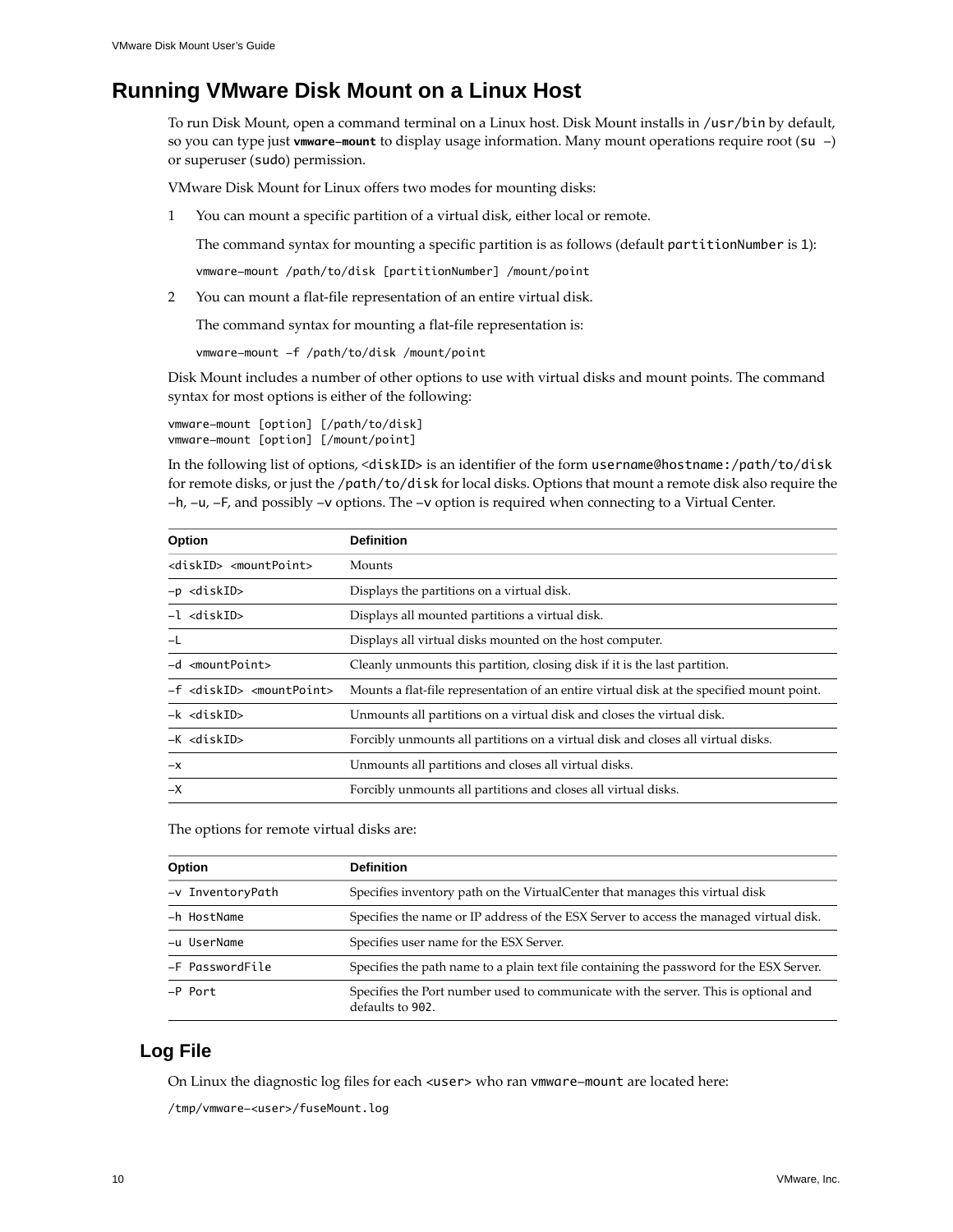## <span id="page-9-0"></span>**Running VMware Disk Mount on a Linux Host**

To run Disk Mount, open a command terminal on a Linux host. Disk Mount installs in /usr/bin by default, so you can type just **vmware-mount** to display usage information. Many mount operations require root (su -) or superuser (sudo) permission.

VMware Disk Mount for Linux offers two modes for mounting disks:

1 You can mount a specific partition of a virtual disk, either local or remote.

The command syntax for mounting a specific partition is as follows (default partitionNumber is 1):

vmware-mount /path/to/disk [partitionNumber] /mount/point

2 You can mount a flat-file representation of an entire virtual disk.

The command syntax for mounting a flat-file representation is:

```
vmware-mount -f /path/to/disk /mount/point
```
Disk Mount includes a number of other options to use with virtual disks and mount points. The command syntax for most options is either of the following:

vmware-mount [option] [/path/to/disk] vmware-mount [option] [/mount/point]

In the following list of options, <diskID> is an identifier of the form username@hostname:/path/to/disk for remote disks, or just the /path/to/disk for local disks. Options that mount a remote disk also require the -h, -u, -F, and possibly -v options. The -v option is required when connecting to a Virtual Center.

| Option                                         | <b>Definition</b>                                                                         |  |  |  |  |
|------------------------------------------------|-------------------------------------------------------------------------------------------|--|--|--|--|
| <diskid> <mountpoint></mountpoint></diskid>    | <b>Mounts</b>                                                                             |  |  |  |  |
| -p <diskid></diskid>                           | Displays the partitions on a virtual disk.                                                |  |  |  |  |
| -l <diskid></diskid>                           | Displays all mounted partitions a virtual disk.                                           |  |  |  |  |
| -L                                             | Displays all virtual disks mounted on the host computer.                                  |  |  |  |  |
| -d <mountpoint></mountpoint>                   | Cleanly unmounts this partition, closing disk if it is the last partition.                |  |  |  |  |
| -f <diskid> <mountpoint></mountpoint></diskid> | Mounts a flat-file representation of an entire virtual disk at the specified mount point. |  |  |  |  |
| -k <diskid></diskid>                           | Unmounts all partitions on a virtual disk and closes the virtual disk.                    |  |  |  |  |
| -K <diskid></diskid>                           | Forcibly unmounts all partitions on a virtual disk and closes all virtual disks.          |  |  |  |  |
| $-x$                                           | Unmounts all partitions and closes all virtual disks.                                     |  |  |  |  |
| $-X$                                           | Forcibly unmounts all partitions and closes all virtual disks.                            |  |  |  |  |

The options for remote virtual disks are:

| Option           | <b>Definition</b>                                                                                       |  |  |  |
|------------------|---------------------------------------------------------------------------------------------------------|--|--|--|
| -v InventoryPath | Specifies inventory path on the VirtualCenter that manages this virtual disk                            |  |  |  |
| -h HostName      | Specifies the name or IP address of the ESX Server to access the managed virtual disk.                  |  |  |  |
| -u UserName      | Specifies user name for the ESX Server.                                                                 |  |  |  |
| -F PasswordFile  | Specifies the path name to a plain text file containing the password for the ESX Server.                |  |  |  |
| $-P$ Port        | Specifies the Port number used to communicate with the server. This is optional and<br>defaults to 902. |  |  |  |

### <span id="page-9-1"></span>**Log File**

On Linux the diagnostic log files for each <user> who ran vmware-mount are located here:

/tmp/vmware-<user>/fuseMount.log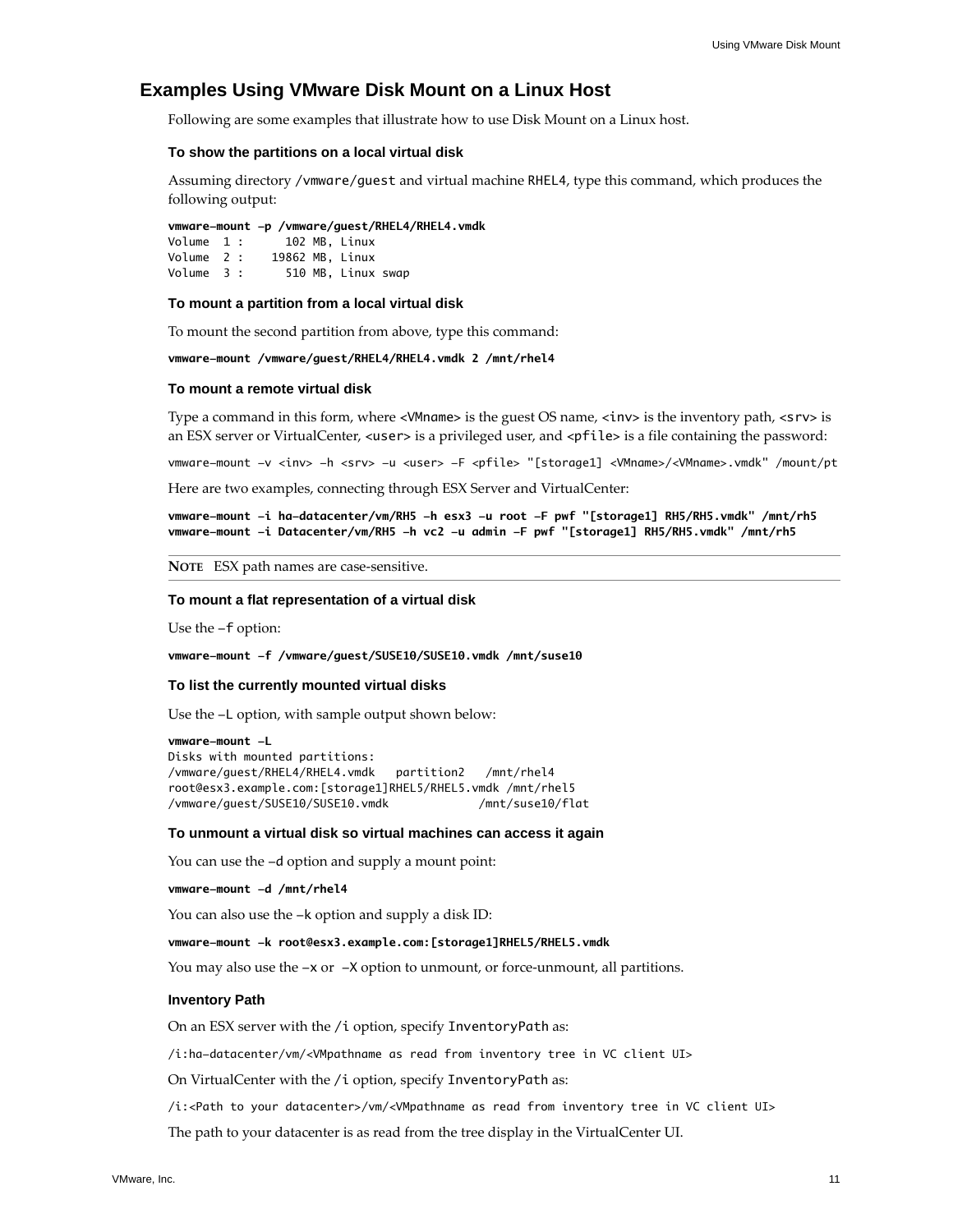## <span id="page-10-0"></span>**Examples Using VMware Disk Mount on a Linux Host**

Following are some examples that illustrate how to use Disk Mount on a Linux host.

#### **To show the partitions on a local virtual disk**

Assuming directory /vmware/guest and virtual machine RHEL4, type this command, which produces the following output:

**vmware-mount -p /vmware/guest/RHEL4/RHEL4.vmdk** 

| Volume 1:         |  |  | 102 MB, Linux      |  |
|-------------------|--|--|--------------------|--|
| Volume 2 :        |  |  | 19862 MB, Linux    |  |
| $Volume \quad 3:$ |  |  | 510 MB, Linux swap |  |

#### **To mount a partition from a local virtual disk**

To mount the second partition from above, type this command:

**vmware-mount /vmware/guest/RHEL4/RHEL4.vmdk 2 /mnt/rhel4**

#### **To mount a remote virtual disk**

Type a command in this form, where <VMname> is the guest OS name, <inv> is the inventory path, <srv> is an ESX server or VirtualCenter, <user> is a privileged user, and <pfile> is a file containing the password:

vmware-mount -v <inv> -h <srv> -u <user> -F <pfile> "[storage1] <VMname>/<VMname>.vmdk" /mount/pt

Here are two examples, connecting through ESX Server and VirtualCenter:

**vmware-mount -i ha-datacenter/vm/RH5 -h esx3 -u root -F pwf "[storage1] RH5/RH5.vmdk" /mnt/rh5 vmware-mount -i Datacenter/vm/RH5 -h vc2 -u admin -F pwf "[storage1] RH5/RH5.vmdk" /mnt/rh5**

**NOTE** ESX path names are case‐sensitive.

#### **To mount a flat representation of a virtual disk**

Use the -f option:

#### **vmware-mount -f /vmware/guest/SUSE10/SUSE10.vmdk /mnt/suse10**

#### **To list the currently mounted virtual disks**

Use the -L option, with sample output shown below:

**vmware-mount -L** Disks with mounted partitions: /vmware/guest/RHEL4/RHEL4.vmdk partition2 /mnt/rhel4 root@esx3.example.com:[storage1]RHEL5/RHEL5.vmdk /mnt/rhel5 /vmware/guest/SUSE10/SUSE10.vmdk /mnt/suse10/flat

#### **To unmount a virtual disk so virtual machines can access it again**

You can use the -d option and supply a mount point:

**vmware-mount -d /mnt/rhel4**

You can also use the -k option and supply a disk ID:

#### **vmware-mount -k root@esx3.example.com:[storage1]RHEL5/RHEL5.vmdk**

You may also use the  $-x$  or  $-x$  option to unmount, or force-unmount, all partitions.

#### **Inventory Path**

On an ESX server with the /i option, specify InventoryPath as:

/i:ha-datacenter/vm/<VMpathname as read from inventory tree in VC client UI>

On VirtualCenter with the /i option, specify InventoryPath as:

/i:<Path to your datacenter>/vm/<VMpathname as read from inventory tree in VC client UI>

The path to your datacenter is as read from the tree display in the VirtualCenter UI.